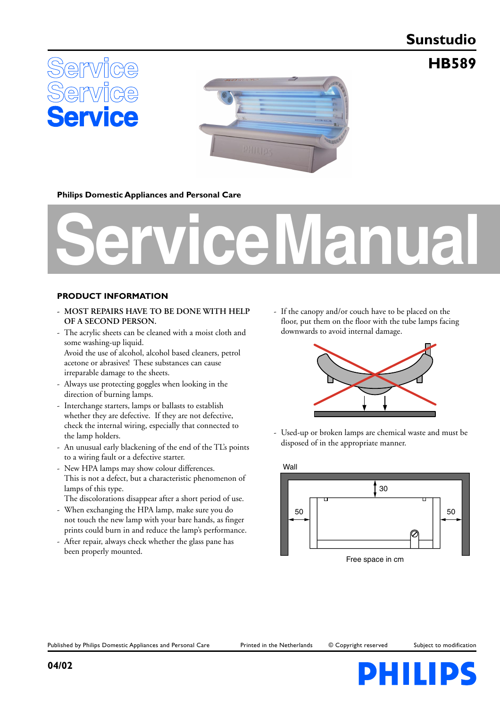# **Sunstudio**

**HB589**





## **Philips Domestic Appliances and Personal Care**

# **Service Manual**

#### **PRODUCT INFORMATION**

- **MOST REPAIRS HAVE TO BE DONE WITH HELP OF A SECOND PERSON.**
- The acrylic sheets can be cleaned with a moist cloth and some washing-up liquid. Avoid the use of alcohol, alcohol based cleaners, petrol

acetone or abrasives! These substances can cause irreparable damage to the sheets.

- Always use protecting goggles when looking in the direction of burning lamps.
- Interchange starters, lamps or ballasts to establish whether they are defective. If they are not defective, check the internal wiring, especially that connected to the lamp holders.
- An unusual early blackening of the end of the TL's points to a wiring fault or a defective starter.
- New HPA lamps may show colour differences. This is not a defect, but a characteristic phenomenon of lamps of this type.
- The discolorations disappear after a short period of use. - When exchanging the HPA lamp, make sure you do
- not touch the new lamp with your bare hands, as finger prints could burn in and reduce the lamp's performance.
- After repair, always check whether the glass pane has been properly mounted.

- If the canopy and/or couch have to be placed on the floor, put them on the floor with the tube lamps facing downwards to avoid internal damage.



- Used-up or broken lamps are chemical waste and must be disposed of in the appropriate manner.



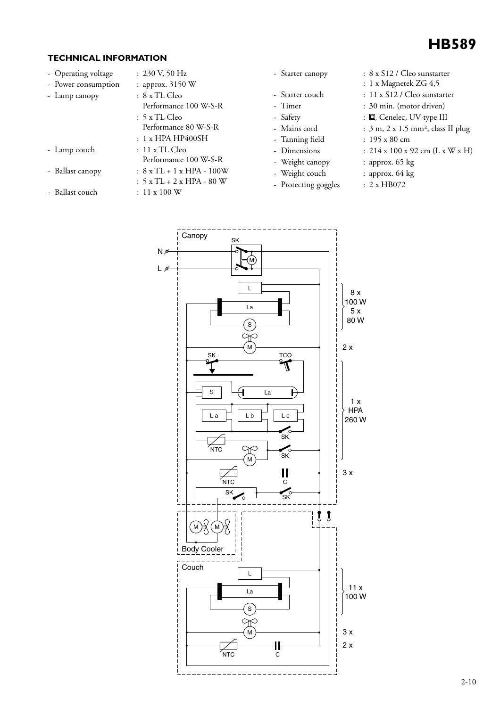

#### **TECHNICAL INFORMATION**

- Operating voltage : 230 V, 50 Hz
- 
- 
- 
- 
- Ballast couch : 11 x 100 W
- Power consumption : approx. 3150 W - Lamp canopy : 8 x TL Cleo Performance 100 W-S-R : 5 x TL Cleo Performance 80 W-S-R : 1 x HPA HP400SH
- Lamp couch : 11 x TL Cleo Performance 100 W-S-R  $-$  Ballast canopy :  $8 \times TL + 1 \times HPA - 100W$ 
	- : 5 x TL + 2 x HPA 80 W
- 
- 
- 
- 
- 
- 
- 
- 
- Weight couch : approx. 64 kg
- Protecting goggles : 2 x HB072
- Starter canopy : 8 x S12 / Cleo sunstarter
	- : 1 x Magnetek ZG 4,5
- Starter couch : 11 x S12 / Cleo sunstarter
- Timer : 30 min. (motor driven)
- Safety :  $\Box$ , Cenelec, UV-type III
- Mains cord : 3 m, 2 x 1.5 mm<sup>2</sup>, class II plug
- Tanning field : 195 x 80 cm
- Dimensions :  $214 \times 100 \times 92$  cm  $(L \times W \times H)$
- Weight canopy : approx. 65 kg
	-
	-

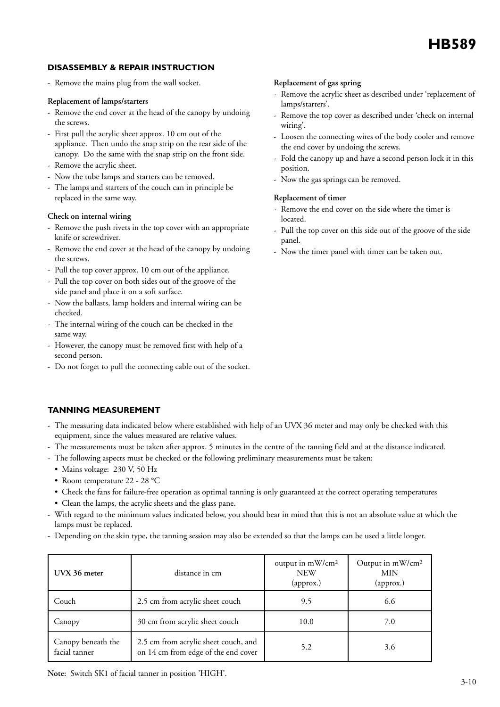## **DISASSEMBLY & REPAIR INSTRUCTION**

- Remove the mains plug from the wall socket.

#### **Replacement of lamps/starters**

- Remove the end cover at the head of the canopy by undoing the screws.
- First pull the acrylic sheet approx. 10 cm out of the appliance. Then undo the snap strip on the rear side of the canopy. Do the same with the snap strip on the front side.
- Remove the acrylic sheet.
- Now the tube lamps and starters can be removed.
- The lamps and starters of the couch can in principle be replaced in the same way.

#### **Check on internal wiring**

- Remove the push rivets in the top cover with an appropriate knife or screwdriver.
- Remove the end cover at the head of the canopy by undoing the screws.
- Pull the top cover approx. 10 cm out of the appliance.
- Pull the top cover on both sides out of the groove of the side panel and place it on a soft surface.
- Now the ballasts, lamp holders and internal wiring can be checked.
- The internal wiring of the couch can be checked in the same way.
- However, the canopy must be removed first with help of a second person.
- Do not forget to pull the connecting cable out of the socket.

#### **Replacement of gas spring**

- Remove the acrylic sheet as described under 'replacement of lamps/starters'.
- Remove the top cover as described under 'check on internal wiring'.
- Loosen the connecting wires of the body cooler and remove the end cover by undoing the screws.
- Fold the canopy up and have a second person lock it in this position.
- Now the gas springs can be removed.

#### **Replacement of timer**

- Remove the end cover on the side where the timer is located.
- Pull the top cover on this side out of the groove of the side panel.
- Now the timer panel with timer can be taken out.

## **TANNING MEASUREMENT**

- The measuring data indicated below where established with help of an UVX 36 meter and may only be checked with this equipment, since the values measured are relative values.
- The measurements must be taken after approx. 5 minutes in the centre of the tanning field and at the distance indicated.
- The following aspects must be checked or the following preliminary measurements must be taken:
	- Mains voltage: 230 V, 50 Hz
	- Room temperature 22 28 °C
	- Check the fans for failure-free operation as optimal tanning is only guaranteed at the correct operating temperatures
	- Clean the lamps, the acrylic sheets and the glass pane.
- With regard to the minimum values indicated below, you should bear in mind that this is not an absolute value at which the lamps must be replaced.
- Depending on the skin type, the tanning session may also be extended so that the lamps can be used a little longer.

| UVX 36 meter                        | distance in cm                                                              | output in mW/cm <sup>2</sup><br><b>NEW</b><br>(approx.) | Output in mW/cm <sup>2</sup><br>MIN<br>(approx.) |
|-------------------------------------|-----------------------------------------------------------------------------|---------------------------------------------------------|--------------------------------------------------|
| Couch                               | 2.5 cm from acrylic sheet couch                                             | 9.5                                                     | 6.6                                              |
| Canopy                              | 30 cm from acrylic sheet couch                                              | 10.0                                                    | 7.0                                              |
| Canopy beneath the<br>facial tanner | 2.5 cm from acrylic sheet couch, and<br>on 14 cm from edge of the end cover | 5.2                                                     | 3.6                                              |

**Note:** Switch SK1 of facial tanner in position 'HIGH'.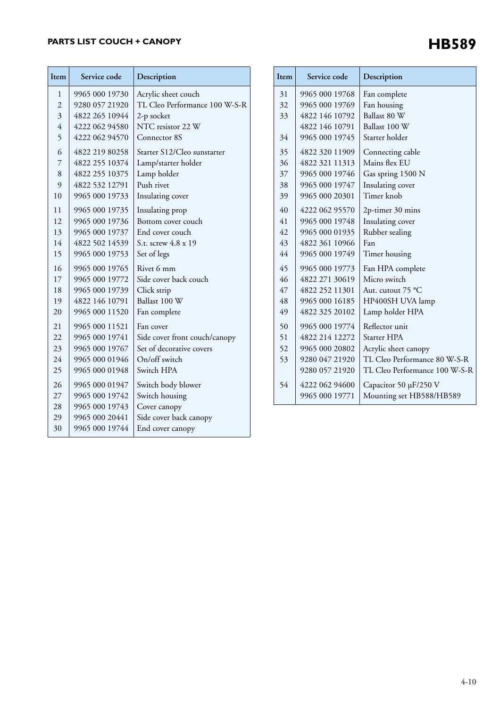# **PARTS LIST COUCH + CANOPY**

| Item           | Service code   | Description                   |
|----------------|----------------|-------------------------------|
| 1              | 9965 000 19730 | Acrylic sheet couch           |
| $\overline{2}$ | 9280 057 21920 | TL Cleo Performance 100 W-S-R |
| 3              | 4822 265 10944 | 2-p socket                    |
| $\overline{4}$ | 4222 062 94580 | NTC resistor 22 W             |
| 5              | 4222 062 94570 | Connector 8S                  |
| 6              | 4822 219 80258 | Starter S12/Cleo sunstarter   |
| 7              | 4822 255 10374 | Lamp/starter holder           |
| 8              | 4822 255 10375 | Lamp holder                   |
| 9              | 4822 532 12791 | Push rivet                    |
| 10             | 9965 000 19733 | Insulating cover              |
| 11             | 9965 000 19735 | Insulating prop               |
| 12             | 9965 000 19736 | Bottom cover couch            |
| 13             | 9965 000 19737 | End cover couch               |
| 14             | 4822 502 14539 | S.t. screw 4.8 x 19           |
| 15             | 9965 000 19753 | Set of legs                   |
| 16             | 9965 000 19765 | Rivet 6 mm                    |
| 17             | 9965 000 19772 | Side cover back couch         |
| 18             | 9965 000 19739 | Click strip                   |
| 19             | 4822 146 10791 | Ballast 100 W                 |
| 20             | 9965 000 11520 | Fan complete                  |
| 21             | 9965 000 11521 | Fan cover                     |
| 22             | 9965 000 19741 | Side cover front couch/canopy |
| 23             | 9965 000 19767 | Set of decorative covers      |
| 24             | 9965 000 01946 | On/off switch                 |
| 25             | 9965 000 01948 | Switch HPA                    |
| 26             | 9965 000 01947 | Switch body blower            |
| 27             | 9965 000 19742 | Switch housing                |
| 28             | 9965 000 19743 | Cover canopy                  |
| 29             | 9965 000 20441 | Side cover back canopy        |
| 30             | 9965 000 19744 | End cover canopy              |

| Item | Service code   | Description                   |
|------|----------------|-------------------------------|
| 31   | 9965 000 19768 | Fan complete                  |
| 32   | 9965 000 19769 | Fan housing                   |
| 33   | 4822 146 10792 | Ballast 80 W                  |
|      | 4822 146 10791 | Ballast 100 W                 |
| 34   | 9965 000 19745 | Starter holder                |
| 35   | 4822 320 11909 | Connecting cable              |
| 36   | 4822 321 11313 | Mains flex EU                 |
| 37   | 9965 000 19746 | Gas spring 1500 N             |
| 38   | 9965 000 19747 | Insulating cover              |
| 39   | 9965 000 20301 | Timer knob                    |
| 40   | 4222 062 95570 | 2p-timer 30 mins              |
| 41   | 9965 000 19748 | Insulating cover              |
| 42   | 9965 000 01935 | Rubber sealing                |
| 43   | 4822 361 10966 | Fan                           |
| 44   | 9965 000 19749 | Timer housing                 |
| 45   | 9965 000 19773 | Fan HPA complete              |
| 46   | 4822 271 30619 | Micro switch                  |
| 47   | 4822 252 11301 | Aut. cutout 75 °C             |
| 48   | 9965 000 16185 | HP400SH UVA lamp              |
| 49   | 4822 325 20102 | Lamp holder HPA               |
| 50   | 9965 000 19774 | Reflector unit                |
| 51   | 4822 214 12272 | Starter HPA                   |
| 52   | 9965 000 20802 | Acrylic sheet canopy          |
| 53   | 9280 047 21920 | TL Cleo Performance 80 W-S-R  |
|      | 9280 057 21920 | TL Cleo Performance 100 W-S-R |
| 54   | 4222 062 94600 | Capacitor 50 µF/250 V         |
|      | 9965 000 19771 | Mounting set HB588/HB589      |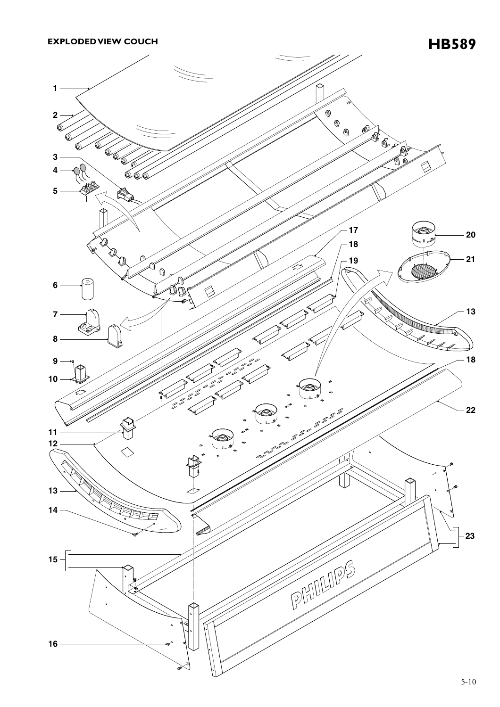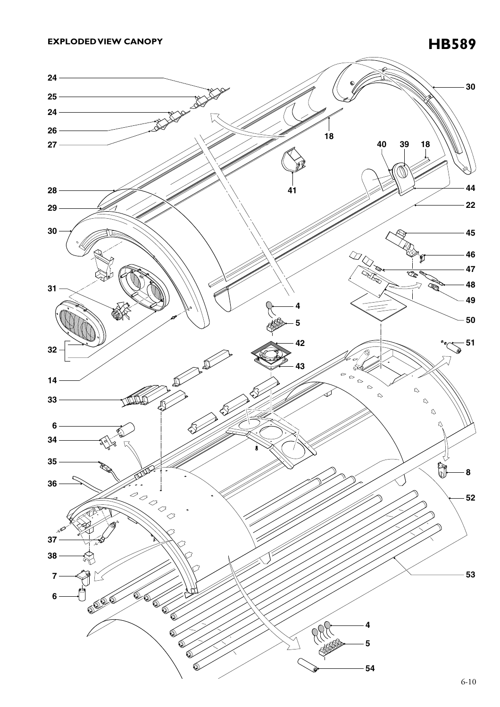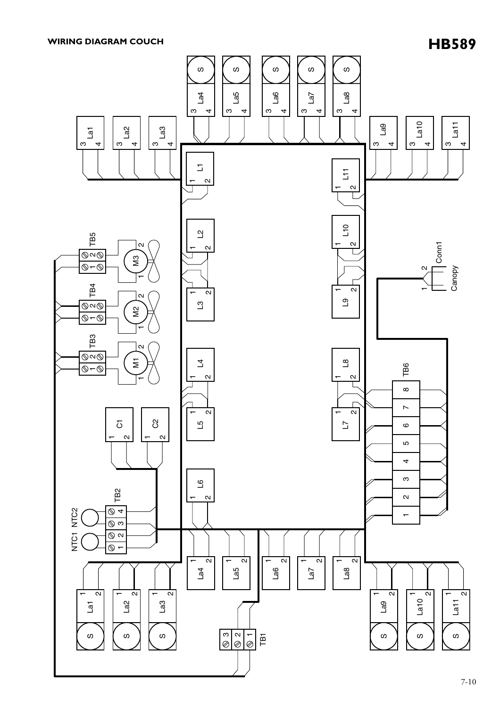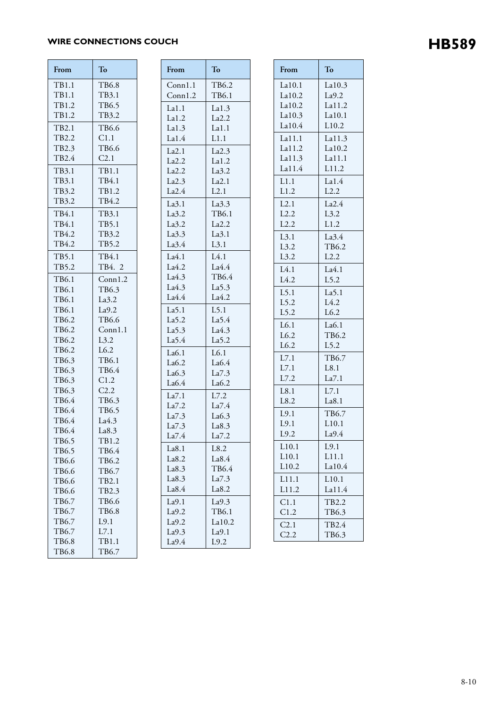# WIRE CONNECTIONS COUCH **HB589**

| From                  | To               |  |
|-----------------------|------------------|--|
| TB1.1                 | TB6.8            |  |
| TB1.1                 | TB3.1            |  |
| TB1.2                 | TB6.5            |  |
| TB1.2                 | TB3.2            |  |
| TB2.1                 | TB6.6            |  |
| TB2.2                 | C1.1             |  |
| TB2.3                 | TB6.6            |  |
| TB2.4                 | C <sub>2.1</sub> |  |
| TB3.1                 | TB1.1            |  |
| TB3.1                 | TB4.1            |  |
| TB3.2                 | TB1.2            |  |
| TB3.2                 | TB4.2            |  |
| TB4.1                 | TB3.1            |  |
| TB4.1                 | TB5.1            |  |
| TB4.2                 | TB3.2            |  |
| TB4.2                 | TB5.2            |  |
| TB5.1                 | TB4.1            |  |
| TB5.2                 | TB4. 2           |  |
| TB6.1                 | Conn1.2          |  |
| TB6.1                 | TB6.3            |  |
| TB6.1                 | La3.2            |  |
| TB6.1                 | La9.2            |  |
| TB6.2                 | TB6.6            |  |
| TB6.2                 | Conn1.1          |  |
| TB6.2                 | L3.2             |  |
| TB6.2                 | L6.2             |  |
| TB6.3                 | TB6.1<br>TB6.4   |  |
| TB6.3<br>TB6.3        | C1.2             |  |
| TB6.3                 | C2.2             |  |
| TB6.4                 | TB6.3            |  |
| TB6.4                 | TB6.5            |  |
| TB6.4                 | La4.3            |  |
| TB6.4                 | La8.3            |  |
| TB6.5                 | TB1.2            |  |
| TB6.5                 | TB6.4            |  |
| TB6.6                 | TB6.2            |  |
| TB6.6                 | TB6.7            |  |
| TB6.6                 | TB2.1            |  |
| TB6.6                 | TB2.3            |  |
| TB6.7                 | TB6.6            |  |
| TB6.7                 | <b>TB6.8</b>     |  |
| TB6.7                 | L9.1             |  |
| TB6.7                 | L7.1             |  |
| TB6.8<br><b>TB6.8</b> | TB1.1            |  |
|                       | TB6.7            |  |

| From              | To      |  |
|-------------------|---------|--|
| Conn1.1           | TB6.2   |  |
| Conn1.2           | TB6.1   |  |
| La1.1             | La1.3   |  |
| La1.2             | La2.2   |  |
| La1.3             | La1.1   |  |
| La1.4             | L1.1    |  |
| La2.1             | La2.3   |  |
| La2.2             | La1.2   |  |
| La2.2             | La3.2   |  |
| La2.3             | La2.1   |  |
| La2.4             | L2.1    |  |
| La3.1             | La3.3   |  |
| La3.2             | TB6.1   |  |
| La3.2             | La2.2   |  |
| La3.3             | La3.1   |  |
| La3.4             | L3.1    |  |
| La4.1             | L4.1    |  |
| La4.2             | La4.4   |  |
| La4.3             | TB6.4   |  |
| La4.3             | La5.3   |  |
| La4.4             | La4.2   |  |
| La5.1             | $L$ 5.1 |  |
| La5.2             | La5.4   |  |
| La <sub>5.3</sub> | La4.3   |  |
| La <sub>5.4</sub> | La5.2   |  |
| La6.1             | L6.1    |  |
| La6.2             | La6.4   |  |
| La6.3             | La7.3   |  |
| La6.4             | La6.2   |  |
| La7.1             | L7.2    |  |
| La7.2             | La7.4   |  |
| La7.3             | La6.3   |  |
| La7.3             | La8.3   |  |
| La7.4             | La7.2   |  |
| La8.1             | L8.2    |  |
| La8.2             | La8.4   |  |
| La8.3             | TB6.4   |  |
| La8.3             | La7.3   |  |
| La8.4             | La8.2   |  |
| La9.1             | La9.3   |  |
| La9.2             | TB6.1   |  |
| La9.2             | La10.2  |  |
| La9.3             | La9.1   |  |
| La9.4             | L9.2    |  |

| From             | To                |
|------------------|-------------------|
| La10.1<br>La10.2 | La10.3<br>La9.2   |
| La10.2           | La11.2            |
| La10.3           | La10.1            |
| La10.4           | L10.2             |
| La11.1           | La11.3            |
| La11.2           | La10.2            |
| La11.3           | La11.1            |
| La11.4           | L11.2             |
| L1.1<br>L1.2     | La1.4<br>L2.2     |
| L2.1             | La2.4             |
| L2.2             | L3.2              |
| L2.2             | L1.2              |
| L3.1             | La3.4             |
| L3.2             | TB6.2             |
| L3.2             | L2.2              |
| L4.1             | La4.1             |
| L4.2             | L5.2              |
| $L$ 5.1          | La <sub>5.1</sub> |
| L5.2             | L4.2              |
| L5.2             | L6.2              |
| L6.1             | La6.1             |
| L6.2<br>L6.2     | TB6.2<br>L5.2     |
|                  | TB6.7             |
| L7.1<br>L7.1     | L8.1              |
| L7.2             | La7.1             |
| L8.1             | L7.1              |
| L8.2             | La8.1             |
| L9.1             | TB6.7             |
| L9.1             | L10.1             |
| L9.2             | La9.4             |
| L10.1            | L9.1              |
| L10.1            | L11.1             |
| L10.2            | La10.4            |
| L11.1            | L10.1             |
| L11.2            | La11.4            |
| C1.1<br>C1.2     | TB2.2<br>TB6.3    |
|                  |                   |
| C2.1<br>C2.2     | TB2.4<br>TB6.3    |
|                  |                   |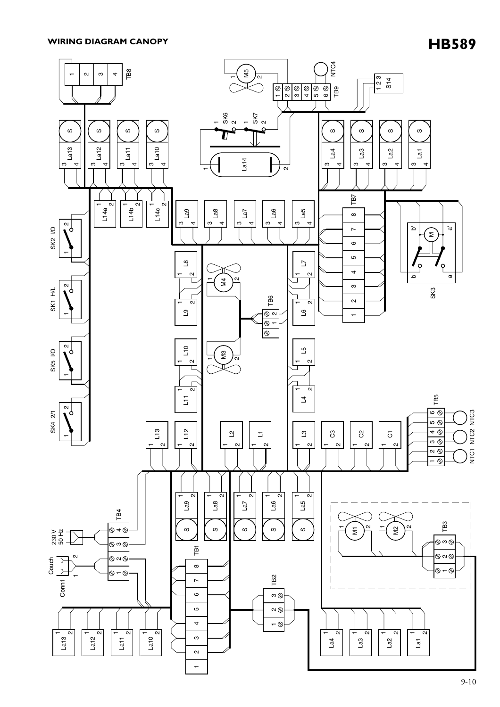## **HB589 WIRING DIAGRAM CANOPY**